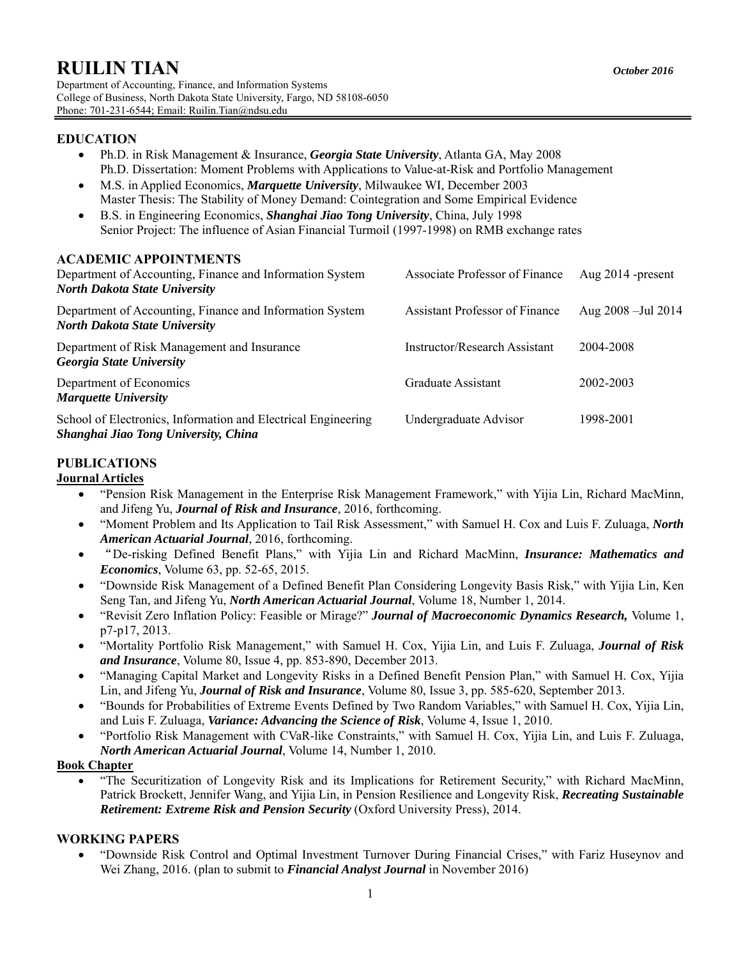# **RUILIN TIAN** *October 2016*

Department of Accounting, Finance, and Information Systems College of Business, North Dakota State University, Fargo, ND 58108-6050 Phone: 701-231-6544; Email: Ruilin.Tian@ndsu.edu

## **EDUCATION**

- Ph.D. in Risk Management & Insurance, *Georgia State University*, Atlanta GA, May 2008 Ph.D. Dissertation: Moment Problems with Applications to Value-at-Risk and Portfolio Management
- M.S. in Applied Economics, *Marquette University*, Milwaukee WI, December 2003 Master Thesis: The Stability of Money Demand: Cointegration and Some Empirical Evidence
- B.S. in Engineering Economics, *Shanghai Jiao Tong University*, China, July 1998 Senior Project: The influence of Asian Financial Turmoil (1997-1998) on RMB exchange rates

## **ACADEMIC APPOINTMENTS**

| Department of Accounting, Finance and Information System<br><b>North Dakota State University</b>      | Associate Professor of Finance        | Aug $2014$ -present     |
|-------------------------------------------------------------------------------------------------------|---------------------------------------|-------------------------|
| Department of Accounting, Finance and Information System<br><b>North Dakota State University</b>      | <b>Assistant Professor of Finance</b> | Aug $2008 -$ Jul $2014$ |
| Department of Risk Management and Insurance<br><b>Georgia State University</b>                        | Instructor/Research Assistant         | 2004-2008               |
| Department of Economics<br><b>Marquette University</b>                                                | Graduate Assistant                    | 2002-2003               |
| School of Electronics, Information and Electrical Engineering<br>Shanghai Jiao Tong University, China | Undergraduate Advisor                 | 1998-2001               |

# **PUBLICATIONS**

## **Journal Articles**

- "Pension Risk Management in the Enterprise Risk Management Framework," with Yijia Lin, Richard MacMinn, and Jifeng Yu, *Journal of Risk and Insurance*, 2016, forthcoming.
- "Moment Problem and Its Application to Tail Risk Assessment," with Samuel H. Cox and Luis F. Zuluaga, *North American Actuarial Journal*, 2016, forthcoming.
- "De-risking Defined Benefit Plans," with Yijia Lin and Richard MacMinn, *Insurance: Mathematics and Economics*, Volume 63, pp. 52-65, 2015.
- "Downside Risk Management of a Defined Benefit Plan Considering Longevity Basis Risk," with Yijia Lin, Ken Seng Tan, and Jifeng Yu, *North American Actuarial Journal*, Volume 18, Number 1, 2014.
- "Revisit Zero Inflation Policy: Feasible or Mirage?" *Journal of Macroeconomic Dynamics Research,* Volume 1, p7-p17, 2013.
- "Mortality Portfolio Risk Management," with Samuel H. Cox, Yijia Lin, and Luis F. Zuluaga, *Journal of Risk and Insurance*, Volume 80, Issue 4, pp. 853-890, December 2013.
- "Managing Capital Market and Longevity Risks in a Defined Benefit Pension Plan," with Samuel H. Cox, Yijia Lin, and Jifeng Yu, *Journal of Risk and Insurance*, Volume 80, Issue 3, pp. 585-620, September 2013.
- "Bounds for Probabilities of Extreme Events Defined by Two Random Variables," with Samuel H. Cox, Yijia Lin, and Luis F. Zuluaga, *Variance: Advancing the Science of Risk*, Volume 4, Issue 1, 2010.
- "Portfolio Risk Management with CVaR-like Constraints," with Samuel H. Cox, Yijia Lin, and Luis F. Zuluaga, *North American Actuarial Journal*, Volume 14, Number 1, 2010.

#### **Book Chapter**

 "The Securitization of Longevity Risk and its Implications for Retirement Security," with Richard MacMinn, Patrick Brockett, Jennifer Wang, and Yijia Lin, in Pension Resilience and Longevity Risk, *Recreating Sustainable Retirement: Extreme Risk and Pension Security* (Oxford University Press), 2014.

# **WORKING PAPERS**

 "Downside Risk Control and Optimal Investment Turnover During Financial Crises," with Fariz Huseynov and Wei Zhang, 2016. (plan to submit to *Financial Analyst Journal* in November 2016)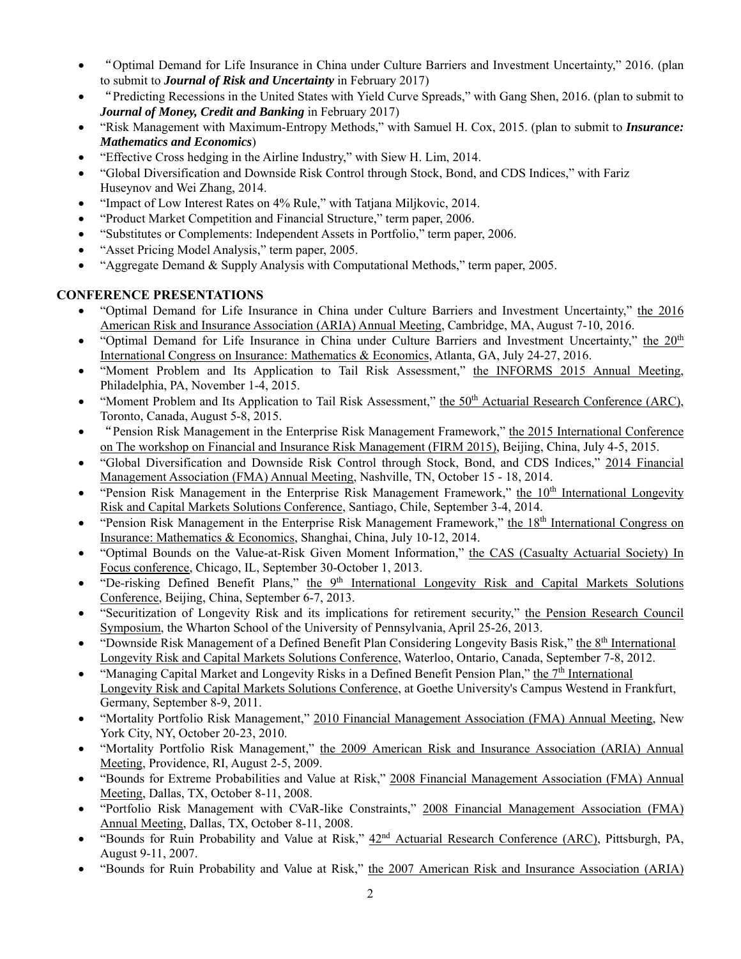- "Optimal Demand for Life Insurance in China under Culture Barriers and Investment Uncertainty," 2016. (plan to submit to *Journal of Risk and Uncertainty* in February 2017)
- "Predicting Recessions in the United States with Yield Curve Spreads," with Gang Shen, 2016. (plan to submit to *Journal of Money, Credit and Banking* in February 2017)
- "Risk Management with Maximum-Entropy Methods," with Samuel H. Cox, 2015. (plan to submit to *Insurance: Mathematics and Economics*)
- "Effective Cross hedging in the Airline Industry," with Siew H. Lim, 2014.
- "Global Diversification and Downside Risk Control through Stock, Bond, and CDS Indices," with Fariz Huseynov and Wei Zhang, 2014.
- "Impact of Low Interest Rates on 4% Rule," with Tatjana Miljkovic, 2014.
- "Product Market Competition and Financial Structure," term paper, 2006.
- "Substitutes or Complements: Independent Assets in Portfolio," term paper, 2006.
- "Asset Pricing Model Analysis," term paper, 2005.
- "Aggregate Demand & Supply Analysis with Computational Methods," term paper, 2005.

## **CONFERENCE PRESENTATIONS**

- "Optimal Demand for Life Insurance in China under Culture Barriers and Investment Uncertainty," the 2016 American Risk and Insurance Association (ARIA) Annual Meeting, Cambridge, MA, August 7-10, 2016.
- "Optimal Demand for Life Insurance in China under Culture Barriers and Investment Uncertainty," the 20th International Congress on Insurance: Mathematics & Economics, Atlanta, GA, July 24-27, 2016.
- "Moment Problem and Its Application to Tail Risk Assessment," the INFORMS 2015 Annual Meeting, Philadelphia, PA, November 1-4, 2015.
- "Moment Problem and Its Application to Tail Risk Assessment," the  $50<sup>th</sup>$  Actuarial Research Conference (ARC), Toronto, Canada, August 5-8, 2015.
- "Pension Risk Management in the Enterprise Risk Management Framework," the 2015 International Conference on The workshop on Financial and Insurance Risk Management (FIRM 2015), Beijing, China, July 4-5, 2015.
- "Global Diversification and Downside Risk Control through Stock, Bond, and CDS Indices," 2014 Financial Management Association (FMA) Annual Meeting, Nashville, TN, October 15 - 18, 2014.
- $\bullet$  "Pension Risk Management in the Enterprise Risk Management Framework," the  $10<sup>th</sup>$  International Longevity Risk and Capital Markets Solutions Conference, Santiago, Chile, September 3-4, 2014.
- "Pension Risk Management in the Enterprise Risk Management Framework," the 18th International Congress on Insurance: Mathematics & Economics, Shanghai, China, July 10-12, 2014.
- "Optimal Bounds on the Value-at-Risk Given Moment Information," the CAS (Casualty Actuarial Society) In Focus conference, Chicago, IL, September 30-October 1, 2013.
- . "De-risking Defined Benefit Plans," the 9<sup>th</sup> International Longevity Risk and Capital Markets Solutions Conference, Beijing, China, September 6-7, 2013.
- "Securitization of Longevity Risk and its implications for retirement security," the Pension Research Council Symposium, the Wharton School of the University of Pennsylvania, April 25-26, 2013.
- "Downside Risk Management of a Defined Benefit Plan Considering Longevity Basis Risk," the 8th International Longevity Risk and Capital Markets Solutions Conference, Waterloo, Ontario, Canada, September 7-8, 2012.
- "Managing Capital Market and Longevity Risks in a Defined Benefit Pension Plan," the  $7<sup>th</sup>$  International Longevity Risk and Capital Markets Solutions Conference, at Goethe University's Campus Westend in Frankfurt, Germany, September 8-9, 2011.
- "Mortality Portfolio Risk Management," 2010 Financial Management Association (FMA) Annual Meeting, New York City, NY, October 20-23, 2010.
- "Mortality Portfolio Risk Management," the 2009 American Risk and Insurance Association (ARIA) Annual Meeting, Providence, RI, August 2-5, 2009.
- "Bounds for Extreme Probabilities and Value at Risk," 2008 Financial Management Association (FMA) Annual Meeting, Dallas, TX, October 8-11, 2008.
- "Portfolio Risk Management with CVaR-like Constraints," 2008 Financial Management Association (FMA) Annual Meeting, Dallas, TX, October 8-11, 2008.
- "Bounds for Ruin Probability and Value at Risk," 42nd Actuarial Research Conference (ARC), Pittsburgh, PA, August 9-11, 2007.
- "Bounds for Ruin Probability and Value at Risk," the 2007 American Risk and Insurance Association (ARIA)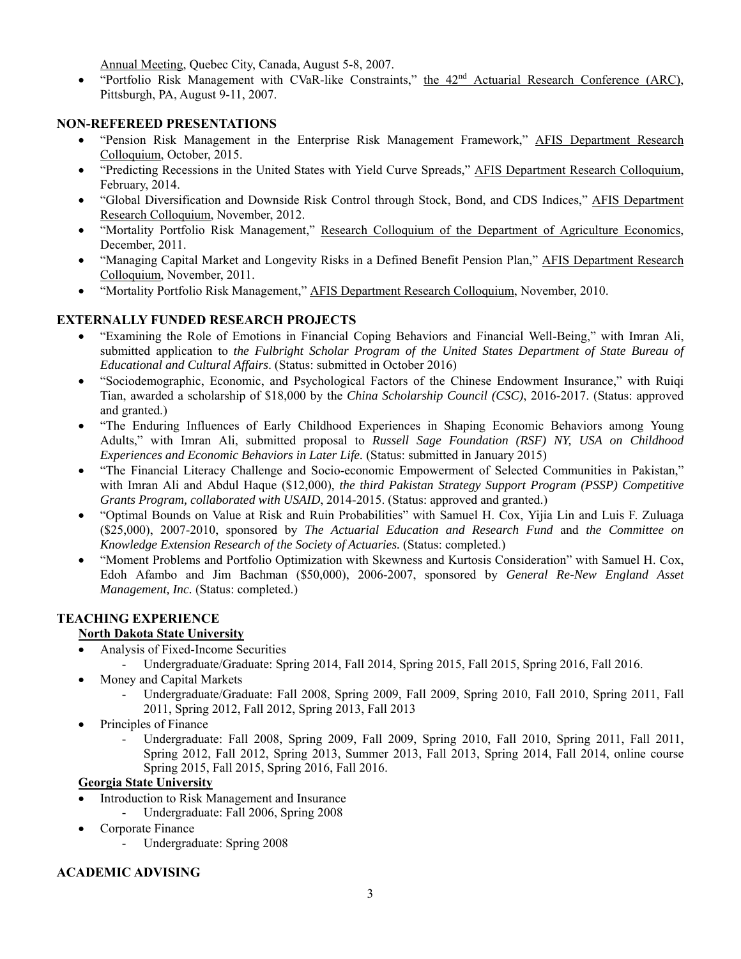Annual Meeting, Quebec City, Canada, August 5-8, 2007.

"Portfolio Risk Management with CVaR-like Constraints," the  $42<sup>nd</sup>$  Actuarial Research Conference (ARC), Pittsburgh, PA, August 9-11, 2007.

#### **NON-REFEREED PRESENTATIONS**

- . "Pension Risk Management in the Enterprise Risk Management Framework," AFIS Department Research Colloquium, October, 2015.
- "Predicting Recessions in the United States with Yield Curve Spreads," AFIS Department Research Colloquium, February, 2014.
- "Global Diversification and Downside Risk Control through Stock, Bond, and CDS Indices," AFIS Department Research Colloquium, November, 2012.
- "Mortality Portfolio Risk Management," Research Colloquium of the Department of Agriculture Economics, December, 2011.
- "Managing Capital Market and Longevity Risks in a Defined Benefit Pension Plan," AFIS Department Research Colloquium, November, 2011.
- "Mortality Portfolio Risk Management," AFIS Department Research Colloquium, November, 2010.

## **EXTERNALLY FUNDED RESEARCH PROJECTS**

- "Examining the Role of Emotions in Financial Coping Behaviors and Financial Well-Being," with Imran Ali, submitted application to *the Fulbright Scholar Program of the United States Department of State Bureau of Educational and Cultural Affairs*. (Status: submitted in October 2016)
- "Sociodemographic, Economic, and Psychological Factors of the Chinese Endowment Insurance," with Ruiqi Tian, awarded a scholarship of \$18,000 by the *China Scholarship Council (CSC)*, 2016-2017. (Status: approved and granted.)
- "The Enduring Influences of Early Childhood Experiences in Shaping Economic Behaviors among Young Adults," with Imran Ali, submitted proposal to *Russell Sage Foundation (RSF) NY, USA on Childhood Experiences and Economic Behaviors in Later Life.* (Status: submitted in January 2015)
- "The Financial Literacy Challenge and Socio-economic Empowerment of Selected Communities in Pakistan," with Imran Ali and Abdul Haque (\$12,000), *the third Pakistan Strategy Support Program (PSSP) Competitive Grants Program, collaborated with USAID*, 2014-2015. (Status: approved and granted.)
- "Optimal Bounds on Value at Risk and Ruin Probabilities" with Samuel H. Cox, Yijia Lin and Luis F. Zuluaga (\$25,000), 2007-2010, sponsored by *The Actuarial Education and Research Fund* and *the Committee on Knowledge Extension Research of the Society of Actuaries.* (Status: completed.)
- "Moment Problems and Portfolio Optimization with Skewness and Kurtosis Consideration" with Samuel H. Cox, Edoh Afambo and Jim Bachman (\$50,000), 2006-2007, sponsored by *General Re-New England Asset Management, Inc.* (Status: completed.)

## **TEACHING EXPERIENCE**

#### **North Dakota State University**

- Analysis of Fixed-Income Securities
	- Undergraduate/Graduate: Spring 2014, Fall 2014, Spring 2015, Fall 2015, Spring 2016, Fall 2016.
- Money and Capital Markets
	- Undergraduate/Graduate: Fall 2008, Spring 2009, Fall 2009, Spring 2010, Fall 2010, Spring 2011, Fall 2011, Spring 2012, Fall 2012, Spring 2013, Fall 2013
- Principles of Finance
	- Undergraduate: Fall 2008, Spring 2009, Fall 2009, Spring 2010, Fall 2010, Spring 2011, Fall 2011, Spring 2012, Fall 2012, Spring 2013, Summer 2013, Fall 2013, Spring 2014, Fall 2014, online course Spring 2015, Fall 2015, Spring 2016, Fall 2016.

#### **Georgia State University**

- Introduction to Risk Management and Insurance
	- Undergraduate: Fall 2006, Spring 2008
- Corporate Finance
	- Undergraduate: Spring 2008

#### **ACADEMIC ADVISING**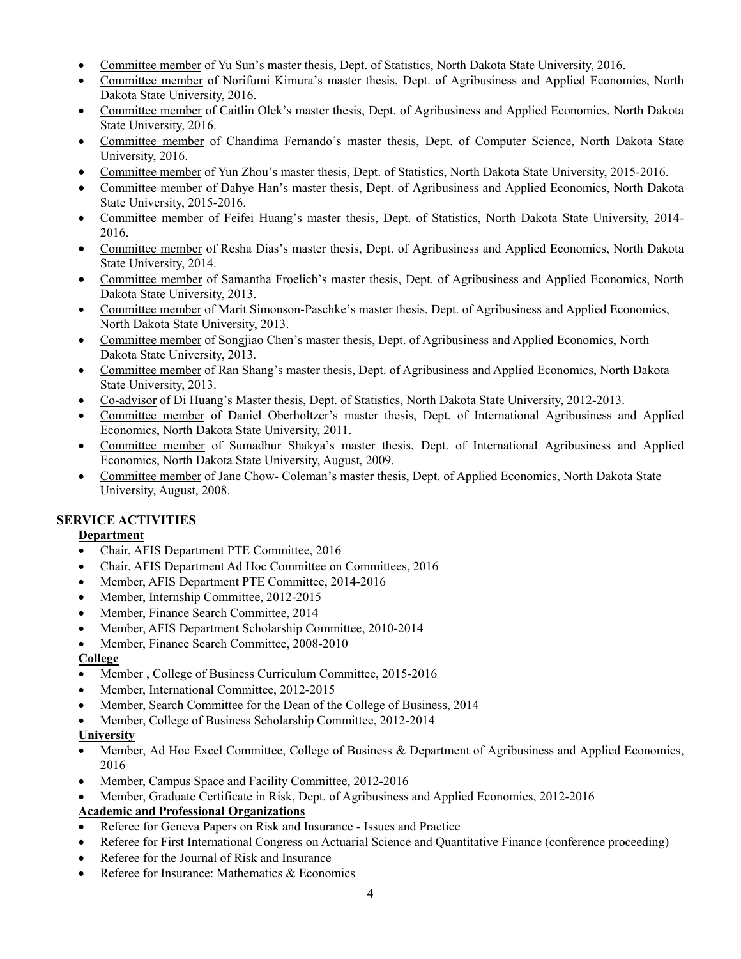- Committee member of Yu Sun's master thesis, Dept. of Statistics, North Dakota State University, 2016.
- Committee member of Norifumi Kimura's master thesis, Dept. of Agribusiness and Applied Economics, North Dakota State University, 2016.
- Committee member of Caitlin Olek's master thesis, Dept. of Agribusiness and Applied Economics, North Dakota State University, 2016.
- Committee member of Chandima Fernando's master thesis, Dept. of Computer Science, North Dakota State University, 2016.
- Committee member of Yun Zhou's master thesis, Dept. of Statistics, North Dakota State University, 2015-2016.
- Committee member of Dahye Han's master thesis, Dept. of Agribusiness and Applied Economics, North Dakota State University, 2015-2016.
- Committee member of Feifei Huang's master thesis, Dept. of Statistics, North Dakota State University, 2014- 2016.
- Committee member of Resha Dias's master thesis, Dept. of Agribusiness and Applied Economics, North Dakota State University, 2014.
- Committee member of Samantha Froelich's master thesis, Dept. of Agribusiness and Applied Economics, North Dakota State University, 2013.
- Committee member of Marit Simonson-Paschke's master thesis, Dept. of Agribusiness and Applied Economics, North Dakota State University, 2013.
- Committee member of Songjiao Chen's master thesis, Dept. of Agribusiness and Applied Economics, North Dakota State University, 2013.
- Committee member of Ran Shang's master thesis, Dept. of Agribusiness and Applied Economics, North Dakota State University, 2013.
- Co-advisor of Di Huang's Master thesis, Dept. of Statistics, North Dakota State University, 2012-2013.
- Committee member of Daniel Oberholtzer's master thesis, Dept. of International Agribusiness and Applied Economics, North Dakota State University, 2011.
- Committee member of Sumadhur Shakya's master thesis, Dept. of International Agribusiness and Applied Economics, North Dakota State University, August, 2009.
- Committee member of Jane Chow- Coleman's master thesis, Dept. of Applied Economics, North Dakota State University, August, 2008.

# **SERVICE ACTIVITIES**

#### **Department**

- Chair, AFIS Department PTE Committee, 2016
- Chair, AFIS Department Ad Hoc Committee on Committees, 2016
- Member, AFIS Department PTE Committee, 2014-2016
- Member, Internship Committee, 2012-2015
- Member, Finance Search Committee, 2014
- Member, AFIS Department Scholarship Committee, 2010-2014
- Member, Finance Search Committee, 2008-2010

#### **College**

- Member , College of Business Curriculum Committee, 2015-2016
- Member, International Committee, 2012-2015
- Member, Search Committee for the Dean of the College of Business, 2014
- Member, College of Business Scholarship Committee, 2012-2014

#### **University**

- Member, Ad Hoc Excel Committee, College of Business & Department of Agribusiness and Applied Economics, 2016
- Member, Campus Space and Facility Committee, 2012-2016
- Member, Graduate Certificate in Risk, Dept. of Agribusiness and Applied Economics, 2012-2016

# **Academic and Professional Organizations**

- Referee for Geneva Papers on Risk and Insurance Issues and Practice
- Referee for First International Congress on Actuarial Science and Quantitative Finance (conference proceeding)
- Referee for the Journal of Risk and Insurance
- Referee for Insurance: Mathematics & Economics